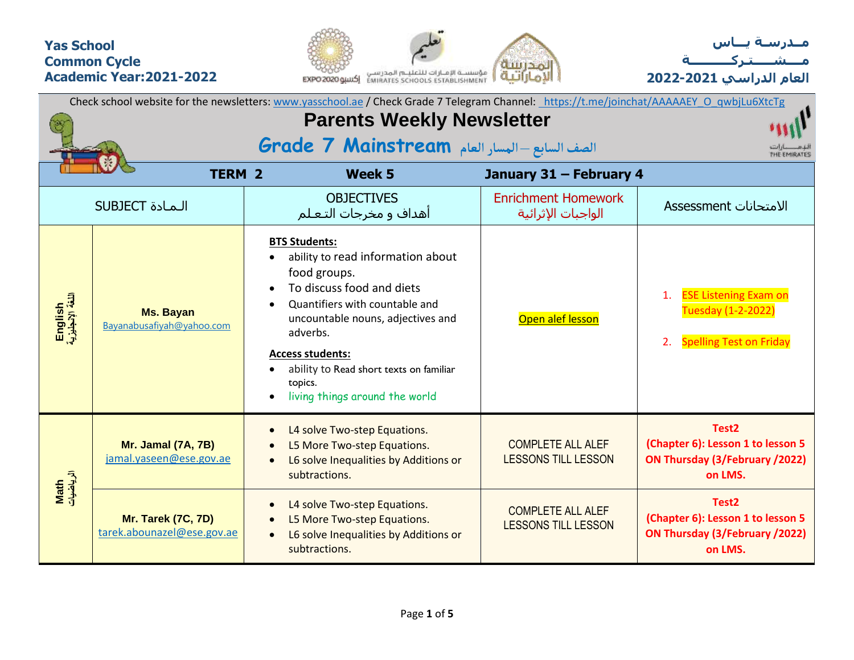## **Yas School Common Cycle Academic Year:2021-2022**





**العام الدراسي -2021 2022**

| Check school website for the newsletters: www.yasschool.ae / Check Grade 7 Telegram Channel: https://t.me/joinchat/AAAAAEY O qwbjLu6XtcTg |                                                  |                                                                                                                                                                                                                                                                                                              |                                                        |                                                                                                     |  |  |  |  |  |  |  |  |
|-------------------------------------------------------------------------------------------------------------------------------------------|--------------------------------------------------|--------------------------------------------------------------------------------------------------------------------------------------------------------------------------------------------------------------------------------------------------------------------------------------------------------------|--------------------------------------------------------|-----------------------------------------------------------------------------------------------------|--|--|--|--|--|--|--|--|
|                                                                                                                                           |                                                  | <b>Parents Weekly Newsletter</b><br>الصف السابع - المسار العام Grade 7 Mainstream                                                                                                                                                                                                                            |                                                        |                                                                                                     |  |  |  |  |  |  |  |  |
|                                                                                                                                           | <b>TERM 2</b>                                    | Week 5                                                                                                                                                                                                                                                                                                       | January 31 - February 4                                |                                                                                                     |  |  |  |  |  |  |  |  |
|                                                                                                                                           | <b>SUBJECT</b> المادة                            | <b>OBJECTIVES</b><br>أهداف و مخرجات التعـلم                                                                                                                                                                                                                                                                  | <b>Enrichment Homework</b><br>الواجبات الإثرائية       | الامتحانات Assessment                                                                               |  |  |  |  |  |  |  |  |
| English<br>اللغة الإنجليزية                                                                                                               | <b>Ms. Bayan</b><br>Bayanabusafiyah@yahoo.com    | <b>BTS Students:</b><br>ability to read information about<br>food groups.<br>To discuss food and diets<br>Quantifiers with countable and<br>uncountable nouns, adjectives and<br>adverbs.<br><b>Access students:</b><br>ability to Read short texts on familiar<br>topics.<br>living things around the world | Open alef lesson                                       | <b>ESE Listening Exam on</b><br>Tuesday (1-2-2022)<br><b>Spelling Test on Friday</b>                |  |  |  |  |  |  |  |  |
| Math<br>الرياضيات                                                                                                                         | Mr. Jamal (7A, 7B)<br>jamal.yaseen@ese.gov.ae    | L4 solve Two-step Equations.<br>L5 More Two-step Equations.<br>L6 solve Inequalities by Additions or<br>subtractions.                                                                                                                                                                                        | <b>COMPLETE ALL ALEF</b><br><b>LESSONS TILL LESSON</b> | Test <sub>2</sub><br>(Chapter 6): Lesson 1 to lesson 5<br>ON Thursday (3/February /2022)<br>on LMS. |  |  |  |  |  |  |  |  |
|                                                                                                                                           | Mr. Tarek (7C, 7D)<br>tarek.abounazel@ese.gov.ae | L4 solve Two-step Equations.<br>L5 More Two-step Equations.<br>L6 solve Inequalities by Additions or<br>subtractions.                                                                                                                                                                                        | <b>COMPLETE ALL ALEF</b><br><b>LESSONS TILL LESSON</b> | Test <sub>2</sub><br>(Chapter 6): Lesson 1 to lesson 5<br>ON Thursday (3/February /2022)<br>on LMS. |  |  |  |  |  |  |  |  |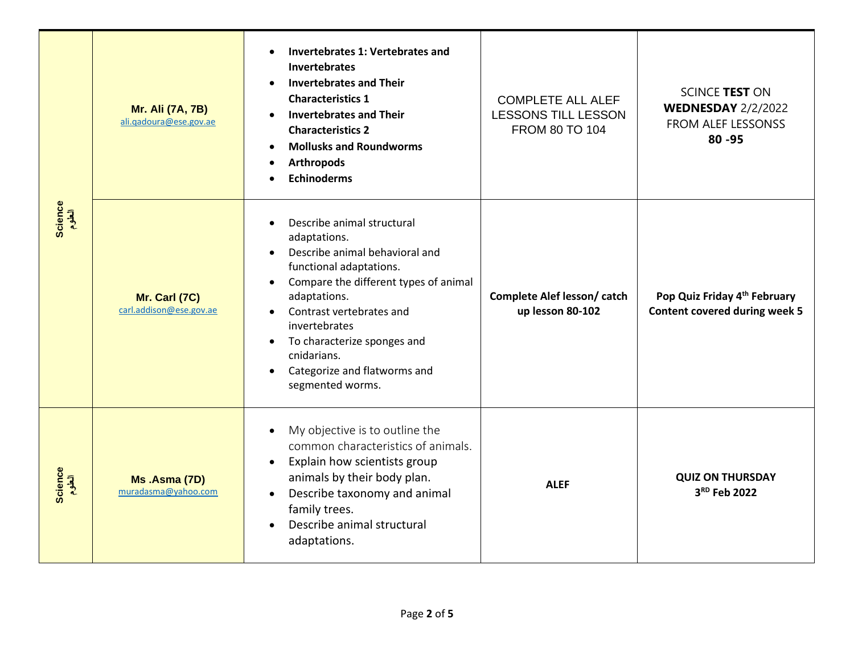|                   | <b>Mr. Ali (7A, 7B)</b><br>ali.gadoura@ese.gov.ae | Invertebrates 1: Vertebrates and<br><b>Invertebrates</b><br><b>Invertebrates and Their</b><br><b>Characteristics 1</b><br><b>Invertebrates and Their</b><br><b>Characteristics 2</b><br><b>Mollusks and Roundworms</b><br><b>Arthropods</b><br><b>Echinoderms</b>                                                                         | <b>COMPLETE ALL ALEF</b><br>LESSONS TILL LESSON<br>FROM 80 TO 104 | SCINCE TEST ON<br><b>WEDNESDAY 2/2/2022</b><br>FROM ALEF LESSONSS<br>$80 - 95$ |  |  |  |  |
|-------------------|---------------------------------------------------|-------------------------------------------------------------------------------------------------------------------------------------------------------------------------------------------------------------------------------------------------------------------------------------------------------------------------------------------|-------------------------------------------------------------------|--------------------------------------------------------------------------------|--|--|--|--|
| Science<br>العلوم | Mr. Carl (7C)<br>carl.addison@ese.gov.ae          | Describe animal structural<br>adaptations.<br>Describe animal behavioral and<br>functional adaptations.<br>Compare the different types of animal<br>$\bullet$<br>adaptations.<br>Contrast vertebrates and<br>invertebrates<br>To characterize sponges and<br>$\bullet$<br>cnidarians.<br>Categorize and flatworms and<br>segmented worms. | Complete Alef lesson/ catch<br>up lesson 80-102                   | Pop Quiz Friday 4th February<br><b>Content covered during week 5</b>           |  |  |  |  |
| Science<br>العلوم | Ms.Asma (7D)<br>muradasma@yahoo.com               | My objective is to outline the<br>common characteristics of animals.<br>Explain how scientists group<br>$\bullet$<br>animals by their body plan.<br>Describe taxonomy and animal<br>family trees.<br>Describe animal structural<br>adaptations.                                                                                           | <b>ALEF</b>                                                       | <b>QUIZ ON THURSDAY</b><br>3 <sup>RD</sup> Feb 2022                            |  |  |  |  |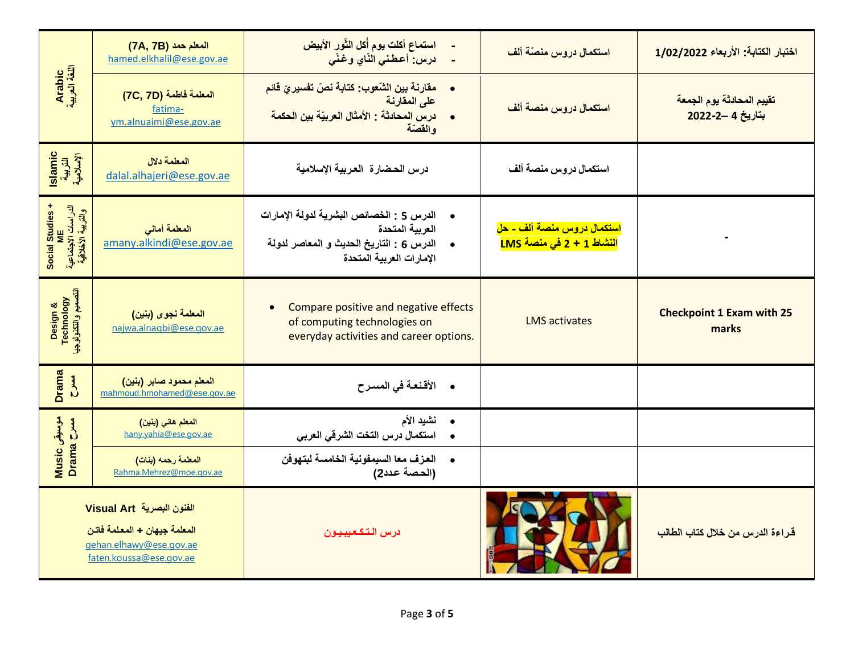| Arabic<br>اللغة العربية                                       | المعلم حمد (7A, 7B)<br>hamed.elkhalil@ese.gov.ae                                                                | استماع أكلت يوم أُكل الثّور الأبيض<br>درس: أعطني النّاي وغنّي                                                                                                 | استكمال دروس منصّة ألف                                                     | اختبار الكتابة: الأربعاء 1/02/2022            |
|---------------------------------------------------------------|-----------------------------------------------------------------------------------------------------------------|---------------------------------------------------------------------------------------------------------------------------------------------------------------|----------------------------------------------------------------------------|-----------------------------------------------|
|                                                               | المعلمة فاطمة (7C, 7D)<br>fatima-<br>ym.alnuaimi@ese.gov.ae                                                     | مقارنة بين الشّعوب: كتابة نصّ تفسيريّ قائم<br>$\bullet$<br>على المقارنة<br>درس المحادثة : الأمثال العربيّة بين الحكمة<br>والقصّة                              | استكمال دروس منصة ألف                                                      | تقييم المحادثة يوم الجمعة<br>بتاريخ 4 -2-2022 |
| Islamic<br>القريبة<br>الإسلامية                               | المعلمة دلال<br>dalal.alhajeri@ese.gov.ae                                                                       | درس الحضارة العربية الإسلامية                                                                                                                                 | استكمال دروس منصة ألف                                                      |                                               |
| + Social Studies<br>الدراسات الاجتماعية<br>والتربية الأخلاقية | المعلمة أمانى<br>amany.alkindi@ese.gov.ae                                                                       | الدرس 5 : الخصائص البشرية لدولة الإمارات<br>$\bullet$<br>العربية المتحدة<br>الدرس 6 : التاريخ الحديث و المعاصر لدولة<br>$\bullet$<br>الإمارات العربية المتحدة | <u>استكمال دروس منصة ألف - حل</u><br><mark>النشاط 1 + 2 في منصة LMS</mark> |                                               |
| Design &<br>Technology<br>انتصنیم وانتئرلوجیا                 | المعلمة نجوى (بنين)<br>najwa.alnagbi@ese.gov.ae                                                                 | Compare positive and negative effects<br>of computing technologies on<br>everyday activities and career options.                                              | <b>LMS</b> activates                                                       | <b>Checkpoint 1 Exam with 25</b><br>marks     |
| <b>Drama</b><br>$\sum_{i=1}^{n}$                              | المعلم محمود صابر (بنين)<br>mahmoud.hmohamed@ese.gov.ae                                                         | • الأقنعة في المسرح                                                                                                                                           |                                                                            |                                               |
|                                                               | المعلم هاني (بنين)<br>hany.yahia@ese.gov.ae                                                                     | نشيد الأم<br>$\bullet$<br>استكمال درس التخت الشرقي العربي<br>$\bullet$                                                                                        |                                                                            |                                               |
| موسیقی Music<br>مسرح Drama                                    | المعلمة رحمه (بنات)<br>Rahma.Mehrez@moe.gov.ae                                                                  | •     العزف معا السيمفونية الخامسة لبتهوفن<br>(الحصة عدد2)                                                                                                    |                                                                            |                                               |
|                                                               | الفنون البصرية Visual Art<br>المعلمة جيهان + المعلمة فاتن<br>gehan.elhawy@ese.gov.ae<br>faten.koussa@ese.gov.ae | درس التكعيبيون                                                                                                                                                |                                                                            | قراءة الدرس من خلال كتاب الطالب               |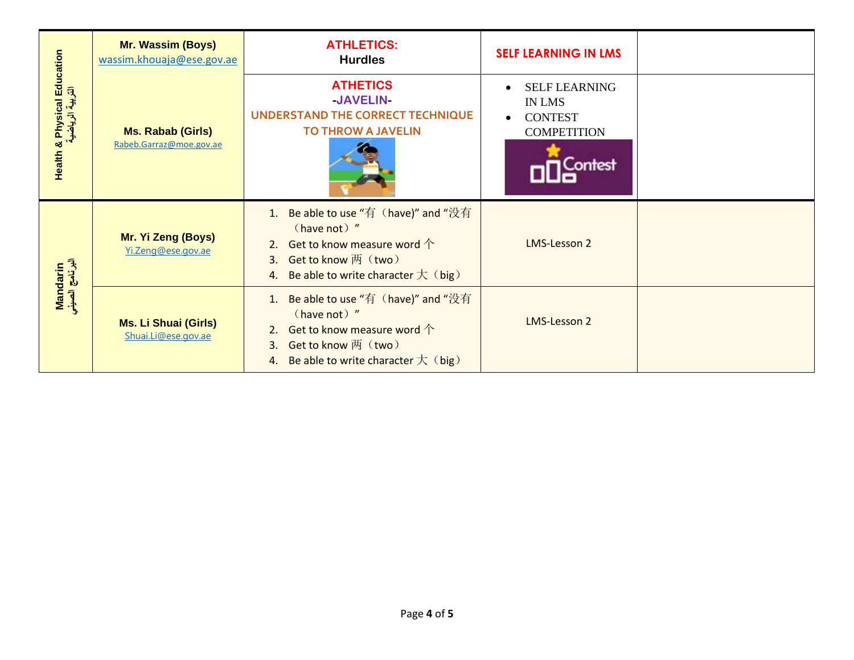|                                                    | Mr. Wassim (Boys)<br>wassim.khouaja@ese.gov.ae      | <b>ATHLETICS:</b><br><b>Hurdles</b>                                                                                                                                         | <b>SELF LEARNING IN LMS</b>                                                              |  |
|----------------------------------------------------|-----------------------------------------------------|-----------------------------------------------------------------------------------------------------------------------------------------------------------------------------|------------------------------------------------------------------------------------------|--|
| Physical Education<br>التربية الرياضية<br>Health & | <b>Ms. Rabab (Girls)</b><br>Rabeb.Garraz@moe.gov.ae | <b>ATHETICS</b><br>-JAVELIN-<br><b>UNDERSTAND THE CORRECT TECHNIQUE</b><br><b>TO THROW A JAVELIN</b>                                                                        | <b>SELF LEARNING</b><br><b>IN LMS</b><br><b>CONTEST</b><br><b>COMPETITION</b><br>Contest |  |
|                                                    | Mr. Yi Zeng (Boys)<br>Yi.Zeng@ese.gov.ae            | 1. Be able to use "有 (have)" and "没有<br>(have not) "<br>Get to know measure word $\uparrow$<br>2.<br>3. Get to know 两 (two)<br>Be able to write character $\pm$ (big)<br>4. | <b>LMS-Lesson 2</b>                                                                      |  |
| Mandarin<br>البرنامج الصيني                        | <b>Ms. Li Shuai (Girls)</b><br>Shuai.Li@ese.gov.ae  | Be able to use "有 (have)" and "没有<br>1.<br>(have not) "<br>2. Get to know measure word $\uparrow$<br>Get to know 两 (two)<br>3.<br>4. Be able to write character $\pm$ (big) | <b>LMS-Lesson 2</b>                                                                      |  |